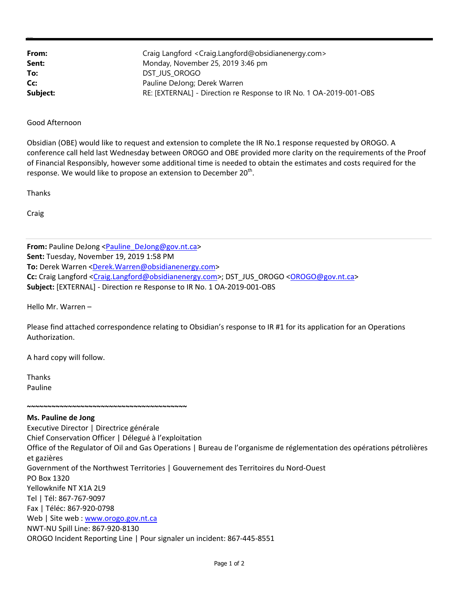| From:    | Craig Langford <craig.langford@obsidianenergy.com></craig.langford@obsidianenergy.com> |
|----------|----------------------------------------------------------------------------------------|
| Sent:    | Monday, November 25, 2019 3:46 pm                                                      |
| To:      | DST JUS OROGO                                                                          |
| Cc:      | Pauline DeJong; Derek Warren                                                           |
| Subject: | RE: [EXTERNAL] - Direction re Response to IR No. 1 OA-2019-001-OBS                     |

Good Afternoon

Obsidian (OBE) would like to request and extension to complete the IR No.1 response requested by OROGO. A conference call held last Wednesday between OROGO and OBE provided more clarity on the requirements of the Proof of Financial Responsibly, however some additional time is needed to obtain the estimates and costs required for the response. We would like to propose an extension to December 20<sup>th</sup>.

Thanks

Craig

From: Pauline DeJong <Pauline\_DeJong@gov.nt.ca> **Sent:** Tuesday, November 19, 2019 1:58 PM To: Derek Warren <Derek.Warren@obsidianenergy.com> **Cc:** Craig Langford <Craig.Langford@obsidianenergy.com>; DST\_JUS\_OROGO <OROGO@gov.nt.ca> **Subject:** [EXTERNAL] ‐ Direction re Response to IR No. 1 OA‐2019‐001‐OBS

Hello Mr. Warren –

Please find attached correspondence relating to Obsidian's response to IR #1 for its application for an Operations Authorization.

A hard copy will follow.

Thanks Pauline

**~~~~~~~~~~~~~~~~~~~~~~~~~~~~~~~~~~~~~~~ Ms. Pauline de Jong** Executive Director | Directrice générale Chief Conservation Officer | Délegué à l'exploitation Office of the Regulator of Oil and Gas Operations | Bureau de l'organisme de réglementation des opérations pétrolières et gazières Government of the Northwest Territories | Gouvernement des Territoires du Nord‐Ouest PO Box 1320 Yellowknife NT X1A 2L9 Tel | Tél: 867‐767‐9097 Fax | Téléc: 867‐920‐0798 Web | Site web : www.orogo.gov.nt.ca NWT‐NU Spill Line: 867‐920‐8130 OROGO Incident Reporting Line | Pour signaler un incident: 867‐445‐8551